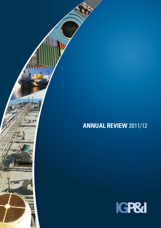

ĥ

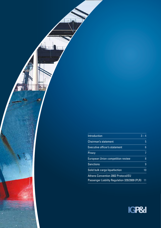| Introduction                                  | $3 - 4$ |
|-----------------------------------------------|---------|
| <b>Chairman's statement</b>                   | 5       |
| <b>Executive officer's statement</b>          | 6       |
| Piracy                                        |         |
| <b>European Union competition review</b>      | 8       |
| Sanctions                                     | 9       |
| Solid bulk cargo liquefaction                 | 10      |
| <b>Athens Convention 2002 Protocol/EU</b>     |         |
| Passenger Liability Regulation 329/2009 (PLR) | 11      |

Ani<sub>ma</sub>

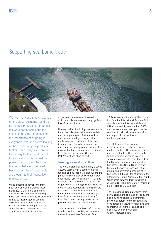# Supporting sea-borne trade



We live in a world that is dependent on the global economy – and that economy simply could not function if it were not for ships and the shipping industry. To understand the importance of shipping in everyone's lives, it is worth looking at the diverse range of products that are used everyday. From the technology that is a vital part of today's economy to the fuel that powers transport and factories, the items that are considered basic necessities of modern life are brought to their respective markets by sea.

While shipping is perhaps the most international of all the world's great industries, it is also one of the most dangerous. Despite the fact that ships have never been so technically advanced, carried so much cargo, or been as environmentally-friendly as they are today, accidents still happen, and the consequences of catastrophes at sea can affect a much wider number

of people than are directly involved, as for example in cases involving significant loss of life or pollution.

However, without shipping, intercontinental trade, the bulk transport of raw materials and the import/export of affordable food and manufactured goods would simply not be possible. It is the job of the global insurance industry to help shipowners and operators to mitigate and manage their risks so that trade can continue – and it is here that the International Group of P&I Associations plays its part.

# **Insuring a vessel's liabilities**

The world merchant fleet currently exceeds 85,000 vessels with a combined gross tonnage of in excess of 1 billion GT. Marine property insurers provide cover for known quantifiable risks, for example, in hull and machinery insurance for shipowners and cargo insurance for cargo owners. However, there is also a requirement for shipowners to have third party liability insurance for broader indeterminate risks, for example loss of life or personal injury, liability for loss of or damage to cargo, collision and pollution liabilities and wreck removal.

Shipowners who control over 90% of the world's merchant fleet buy insurance for these third-party risks from one of the

13 Protection and Indemnity (P&I) Clubs that form the International Group of P&I Associations (the International Group). P&I insurance originated in the 1850's and the system has developed over the centuries to help deliver compensation and support to the victims of maritime accidents.

The Clubs are mutual insurance associations of which the shipowners are the members. They are owned by, and run for the benefit of, their members. Unlike commercial marine insurers, who are answerable to their shareholders the Clubs are run as non-profit-making businesses. The Group Clubs compete between themselves – and with other mutual and commercial insurers of P&I liabilities, but through the structure of the International Group Agreement the member Clubs share between them liabilities in excess of US \$8 million up to a maximum limit of around US \$7 billion.

The International Group performs three key functions: the operation of the claims pooling and reinsurance programme, providing a forum for the exchange and consideration of views on matters relating to shipowners' marine liabilities and insurance arrangements, and external representation.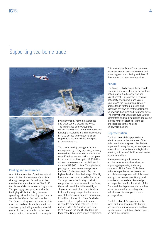# Supporting sea-borne trade





### **Pooling and reinsurance**

One of the main roles of the International Group is the administration of the claims sharing arrangement funded by all the member Clubs and known as "the Pool", and its associated reinsurance programme. This pooling system provides a simple, but highly efficient and fair, system of spreading risk and enhancing the financial security that Clubs offer their members. The Group pooling system is structured to meet the needs of claimants in maritime disasters by facilitating speedy and certain payment of very substantial amounts of compensation, a factor which is recognised

by governments, maritime authorities and organisations around the world. The importance of the Group pool system is recognised in the IMO provisions relating to insurance and financial security in its guidelines to member states on shipowners' responsibilities in respect of maritime claims.

The claims pooling arrangements are underpinned by a very extensive, annually renewed, market reinsurance programme. Over 80 reinsurers worldwide participate in this and it provides up to US \$3 billion of reinsurance cover for pool liabilities in excess of US \$60 million. Through these pooling and reinsurance arrangements the Group Clubs are able to offer the highest level and broadest range of liability insurance cover on a cost-effective basis. The large volume of tonnage and wide range of vessel types entered in the Group Clubs help to minimise the volatility of shipowners' contributions, and is a key factor in the very competitive terms and cost of the Group reinsurance programme. In addition, through the Group's whollyowned captive – Hydra – reinsurance is provided for claims between US \$30 million and US \$60 million, and for a 25% share of the first US \$500 million layer of the Group reinsurance programme. This means that Group Clubs can more effectively control reinsurance costs and protect against the volatility and risks of the commercial reinsurance markets.

## **Forum**

The Group Clubs between them provide cover for shipowners from every maritime nation, and virtually every type and size of vessel. This enormous range of nationality of ownership and vessel type makes the International Group a unique forum for the promotion and exchange of views on matters relating to shipowners' liabilities and insurance cover. The International Group has over 90 subcommittees and working groups addressing a broad range of practical, technical and legal issues that relate to shipowners' liability.

### **Representation**

The International Group provides an effective voice for the members of the individual Clubs to speak collectively on important industry issues, for example on international conventions and legislation affecting shipowners' liabilities and related insurance matters.

It also promotes, participates in and implements initiatives aimed at improving ship quality and safety standards. All the Group Clubs have in-house expertise in loss prevention and claims management which is shared amongst the International Group, and provides an unparalleled knowledge and expertise base for the benefit of the Clubs and the shipowners who are their members, as well as assisting other industry associations, governments and regulators.

The International Group also assists states and inter-governmental bodies and agencies in reviewing and drafting legislation and regulation which impacts on maritime liabilities.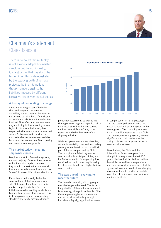

# Chairman's statement Claes Isacson

There is no doubt that mutuality<br> **International Group owners' tonnage** is not a widely adopted ownership structure but, for our industry, it is a structure that has stood the test of time. This is demonstrated by the steady growth of tonnage protected by the International Group members against the liabilities imposed by different legislative and governmental bodies.

# **A history of responding to change**

Clubs are an integral part of both the short and long-term response to casualties, not just meeting the needs of the owners, but also those of the victims of maritime accidents and the authorities involved. Time after time, we have seen major shipping incidents leading to new legislation to which the industry has responded with new products or extended covers. Clubs are able to provide the most extensive insurance cover available because of the International Group pooling and reinsurance arrangements.

# **The market today – meeting shipowners' needs**

Despite competition from other systems, the vast majority of owners have remained within the mutual system because they can, in contrast to the commercial insurance markets, obtain insurance cover 'at cost'. However, it is not just about price.

Prevention is undoubtedly better than cure, and one of the key areas which sets Clubs apart from their commercial market competitors is their focus on initiatives aimed at averting incidents and limiting the exposure of shipowners. This includes promoting and implementing standards and safety measures through

 $100$ 8<sub>nr</sub> **GT Millions** GT Millions con<sup>o</sup> 400  $200$ 0 2002 2003 2004 2005 2006 2007 2008 2009 2010 2011

proper risk assessment, as well as the sharing of knowledge and expertise gained from casualty work within and between the International Group Clubs, states, regulators and other key areas of the shipping industry.

While loss prevention is a key objective. accidents inevitably occur and responding properly when they do occur is a critical part of the service provided by Clubs. The prompt and efficient payment of compensation is a vital part of this, and the Clubs' reputation for responding has remained second to none despite having to deliver ever broader and higher limits of compensation.

# **The way ahead – evolving to meet the future**

The future is uncertain, with ongoing and new challenges to be faced. The focus on the protection of the marine environment is increasingly stringent, so the role of the Clubs in providing both compensation and technical expertise is growing in importance. Equally, significant increases

in compensation limits for passengers, and the cost of pollution incidents and wreck removal will test the system in the coming years. The continuing attention from competition regulators on the Clubs, and International Group system, remains significant and could undermine the ability to deliver the range and levels of compensation required.

Nevertheless, the Clubs and the International Group have gone from strength to strength over the last 150 years. I believe that this is down to three key attributes; resilience, responsiveness and robustness, all of which mean that the system will continue to adapt to a changing environment and to provide unparalleled cover for both shipowners and victims of maritime incidents.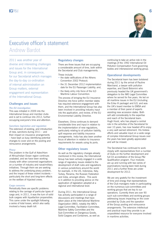

# Executive officer's statement Andrew Bardot

2011 was another year of diverse and interesting challenges and issues for the International Group and, in consequence, for our Secretariat which manages the day-to-day co-ordination of internal administration on Group matters, external engagement and representation of the International Group.

## **Challenges and issues**

#### *The EU investigation*

This was initiated in 2009 into the International Group and member clubs and is set to continue into 2012, further occupying everyone's time and attention.

#### *Sanctions legislation and regulation*

The extension of existing, and introduction of new, sanctions during 2011 – and their impact on insurance arrangements – have kept us busy identifying potential changes to cover and on the pooling and reinsurance arrangements.

#### *Piracy*

The problem in the Gulf of Aden/Horn of Africa/Indian Ocean region continues unabated, and we have been working closely with other concerned organisations on a number of industry and naval/military initiatives. Through them we are seeking to address the underlying piracy problem, and the impact of these violent incidents – particularly the short and long-term effects on the welfare of hijacked crews.

#### *Cargo concerns*

Periodically there are specific problems relating to the carriage of particular types of cargo and, in 2011, it was the turn of solid bulk cargoes with liquefaction propensities. This came under the spotlight following a series of total losses, which also sadly involved a heavy death toll.

# **Regulatory changes**

There are three issues that are occupying a considerable amount of time, both within the Secretariat and Club managements. These include:

- the state ratifications of the Athens Convention 2002 Protocol;
- the 31 December 2012 implementation date for the EU Passenger Liability; and,
- the likely entry into force of the ILO Maritime Labour Convention.

The process of bringing the EU Insurance Directive into force within member states has required extensive engagement with them, and the International Group has also been involved in providing industry input into the application, and review, of the EU Environmental Liability Directive.

Elsewhere, China continues to demand considerable time and input in relation to the implementation of new regulations, particularly relating to oil pollution liability, spill response and liability insurance arrangements. India has also been another focus of attention in relation to insurance requirements for vessels using its ports.

# **Other regulatory issues**

As well as the regulatory changes already mentioned in this review, the International Group has been actively engaged in a wide range of regulatory issues related to the development of draft rules and regulations in various jurisdictions around the world for example, in the US, Indonesia, Italy, Turkey, Panama, the Russian Federation and India, amongst others. This work is in addition to providing advice on the application of legislation adopted at a regional and international level.

During 2011, the International Group has actively participated in a range of discussions and meetings that have taken place at the International Maritime Organization (IMO), notably the IMO's Legal Committee, Facilitation Committee, Maritime Safety Committee and the Sub-Committee on Dangerous Goods, Solid Cargoes and Containers, as well as

continuing to take an active role in the meetings of the 1992 International Oil Pollution Compensation Fund governing bodies and intersessional working group.

## **Operational developments**

The Secretariat team has been bolstered during 2011 by the arrival of Pauline Marchand, a lawyer with pollution expertise, and David Bolomini who previously headed the UK government's delegation to the IMO Legal Committee where he served for five years. He led on all maritime issues in the EU (including the Erika III package) and ILO, and was the UK's board member to EMSA and a member of their panel of experts assisting new accession states. Both will add considerably to the expertise and reach of the Secretariat team. Hugh Hurst, who has played a central role in the activities of the Secretariat for over 10 years, has now headed off to enjoy a very well earned retirement. His tireless efforts and valuable input on a wide range of complex International Group issues over the years has been greatly appreciated and will be missed.

The Secretariat has continued to work closely with representatives from a number of Clubs on the further development and full CII accreditation of the Group P&I Qualification program. Four modules are up and running with two series of examinations having been held during 2011 and a further three are under development for 2012.

We are very grateful for the investment of time and energy that representatives of the Club managers make in participating on the numerous sub-committees and working groups that are key to our operations. Currently there are over 90 such sub-committees and working groups addressing issues impacting on the cover provided by Clubs and the operation of the Group pooling and reinsurance arrangements. The extensive intellectual and practical input they provide is an unparalleled resource for everyone involved in maritime activities.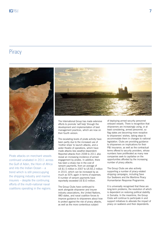# **Piracy**



Pirate attacks on merchant vessels continued unabated in 2011 across the Gulf of Aden, the Horn of Africa and into the Indian Ocean – a trend which is still preoccupying the shipping industry and marine insurers – despite the continuing efforts of the multi-national naval coalitions operating in the regions.



The International Group has made extensive efforts to promote 'self help' through the development and implementation of best management practices, which are now on their fourth version.

The escalating levels of pirate activity have been partly due to the increased use of 'mother ships' to launch attacks, and a wider theatre of operations, which have made attacks less weather-dependent. Reported attacks from 2008 to 2011 also reveal an increasing incidence of armed engagement by pirates. In addition, there has been a sharp rise in the cost of ransom payments, from an average of US \$1.5 million in 2007 to US \$5.2 million in 2010, which can be increased by as much as 50% again in terms of expenses. A number of ransom payments have reportedly exceeded US \$10 million.

The Group Clubs have continued to work alongside shipowner and insurer industry associations, the United Nations, IMO states, and naval coalition forces to improve guidance to shipowners about how to protect against the risk of piracy attacks, as well as the more contentious subject

of deploying armed security personnel onboard vessels. There is recognition that shipowners are increasingly using, or at least considering, armed personnel, so flag states are becoming more receptive to shipowners' wishes, taking steps to accommodate them in changes to national legislation. Clubs are providing guidance to shipowners on implications for their P&I insurance, as well as the contractual terms offered to security providers, whose numbers have proliferated as many new companies seek to capitalise on the opportunities afforded by the increasing number of piracy attacks.

The Group Clubs are also actively supporting a number of piracy-related shipping campaigns, including Save Our Seafarers and the Maritime Piracy Humanitarian Response Programme.

It is universally recognised that these are long-term problems, the resolution of which is dependent on restoring political stability in Somalia. In the meantime, the Group Clubs will continue to participate in and support initiatives to alleviate the impact of piracy on seafarers and their dependents.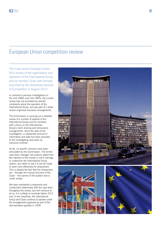# European Union competition review

The most recent European Union (EU) review of the organisation and operation of the International Group and its member Clubs was formally launched by the Directorate General of Competition in August 2010.

In contrast to previous investigations in the mid-1980s and mid-1990s, the current review was not prompted by specific complaints about the operation of the International Group, but was part of a wider review of general insurance arrangements.

The Commission is carrying out a detailed review of a number of aspects of the International Group and its members with a focus on the International Group's claim sharing and reinsurance arrangements. Since the start of the investigation, a substantial amount of information and data has been provided to the investigating case team by everyone involved.

So far, no specific concerns have been articulated by the Commission. The former case team manager has publicly stated that the intention of the review is not to damage or undermine the International Group system, but rather to see if it can be made to work more effectively for shipowners. This is despite the fact that the shipowners are – through the mutual structure of the Clubs – the owners of the system that is under review.

We have maintained a responsive and constructive relationship with the case team throughout the review, and will continue to do so. It is unlikely to conclude before 2013 and, in the meantime, the International Group and Clubs continue to operate under the arrangements approved as part of the last exemption granted in 1999.

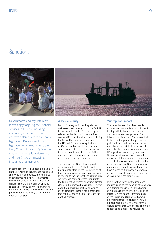# **Sanctions**



Governments and regulators are increasingly targeting the financial services industries, including insurance, as a route to more effective enforcement of sanctions legislation. Recent sanctions legislation – targeted at Iran, the Ivory Coast, Libya and Syria – has created problems for shipowners and their Clubs by impacting insurance arrangements.

In some cases there has been a prohibition on the provision of insurance to designated shipowners or companies, the insurance of certain trading activity, or payments by insurers to designated individuals or entities. The 'extra-territoriality' of some sanctions – particularly those emanating from the US – have also created significant problems for shipowners, Clubs and the International Group.

### **A lack of clarity**

Much of the regulation and legislation deliberately lacks clarity to provide flexibility in interpretation and enforcement by the relevant authorities, which in turn has created difficulties for all insurers, including the Clubs. For example, in response to the US and EU sanctions against Iran, all Clubs have had to introduce general sanctions rules to protect their members from exposure to sanctionable activities, and the effect of these rules are mirrored in the Group pooling arrangements.

The International Group has engaged extensively with the US, the EU and national regulators on the interpretation of their various pieces of sanctions legislation. In relation to the EU sanctions against Iran, we have had some successful input into the final drafting process to achieve greater clarity in the proposed measures. However, given the underlying political objectives of the sanctions, there is not a great deal that can be done to steer or influence the drafting processes.

# **Widespread impact**

The impact of sanctions has been felt not only on the underlying shipping and trading activity, but also on insurance and reinsurance arrangements. The International Group and Clubs have had to focus on the potential impact on the policies they provide to their members, and also on the risk to their individual and collective reinsurance arrangements. US regulators have already sanctioned US-domiciled reinsurers in relation to individual Club reinsurance arrangements. The risk of a similar action in the context of the International Group's reinsurance programme cannot be ignored, and could have a significant impact on recoveries under our annually-renewed general excess of loss reinsurance programme.

It is clear that targeting the insurance industry is perceived to be an effective way of enforcing sanctions, and the burden of such measures on insurers is likely to increase in the future. Therefore, both at the Group and Club level, there will be ongoing extensive engagement with national and international regulators to ensure compliance with current and future sanctions legislation and regulations.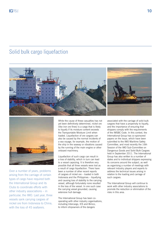# Solid bulk cargo liquefaction





Over a number of years, problems arising from the carriage of certain types of cargo have required both the International Group and its Clubs to coordinate efforts with other industry associations – in particular, the IMO. Last year, three vessels sank carrying cargoes of nickel ore from Indonesia to China, with the loss of 45 seafarers.

While the cause of these casualties has not yet been definitively determined, nickel ore (like iron ore fines) is a cargo that is likely to liquefy if its moisture content exceeds the Transportable Moisture Limit when loaded. Liquefaction of ore cargoes can also be caused by the normal incidents of a sea voyage, for example, the motion of the ship in the seaway or vibrations caused by the running of the main engine or other onboard machinery.

Liquefaction of such cargo can result in a loss of stability, which in turn can lead to a vessel capsizing. It is therefore very possible that all three vessels were lost as a result of cargo liquefaction. There have been a number of other recent reports of cargoes of nickel ore – loaded in both Indonesia and the Philippines – liquefying and causing loss of stability to the carrying vessel, although fortunately none resulted in the loss of the vessel. In one such case the carrying vessel grounded, causing extensive hull damage.

The International Group has been cooperating with other industry organisations, including Intercargo, ICS and Bimco, to inform shipowners of the dangers

associated with the carriage of solid bulk cargoes that have a propensity to liquefy, and the importance of ensuring that shippers comply with the requirements of the IMSBC Code. In this context, the International Group has co-sponsored papers on the issue, which have been submitted to the IMO Maritime Safety Committee, and most recently the 16th Session of the IMO Sub-Committee on Dangerous Goods and Solid Bulk Cargoes held in September 2011. The International Group has also written to a number of states and to individual shippers expressing its concerns around the subject, as well as organising a number of meetings with relevant industry players and experts to address the technical issues arising in relation to the loading and carriage of such cargoes.

The International Group will continue to work with other industry associations to promote the reduction or elimination of the risks in this area.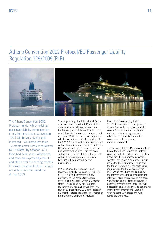# Athens Convention 2002 Protocol/EU Passenger Liability Regulation 329/2009 (PLR)



The Athens Convention 2002 Protocol – under which existing passenger liability compensation limits from the Athens Convention 1974 will be very significantly increased – will come into force 12 months after it has been ratified by 10 states. By October 2011, there had been seven ratifications, and more are expected by the EU and others over the coming months. It is likely therefore that the Protocol will enter into force sometime during 2013.

Several years ago, the International Group expressed concern to the IMO about the absence of a terrorism exclusion under the Convention, and the ramifications this would have for insurance cover. As a result, in October 2006 the IMO Legal Committee adopted guidelines for implementation of the 2002 Protocol, which provided the dual certification of insurance required under the Convention, with one certificate covering non-war/terror liabilities. This certificate will be issued by the Clubs, and a separate certificate covering war and terrorism liabilities will be provided by war risk insurers.

In April 2009, the European Union Passenger Liability Regulation 329/2009 (PLR) – which incorporates the key provisions of the Athens Convention Protocol and will apply within EU member states – was signed by the European Parliament and Council. It will pass into law by 31 December 2012 at the latest in EU member states, regardless of whether or not the Athens Convention Protocol

has entered into force by that time. The PLR also extends the scope of the Athens Convention to cover domestic coastal (but not inland) vessels, and makes provision for payments of advanced compensation, as well as compensation for passenger mobility equipment.

The prospect of the PLR coming into force before the Athens Convention Protocol, combined with the extension of liabilities under the PLR to domestic passenger voyages, has raised a number of unique issues for the International Group and the Clubs. For example, the certification requirements for the purposes of the PLR, which have been considered by the International Group's managers and referred to Club boards and committees. Certification and evidence of insurance generally remains a challenge, and will necessarily entail extensive and continuing efforts by the International Group in years to come with states and with regulators worldwide.